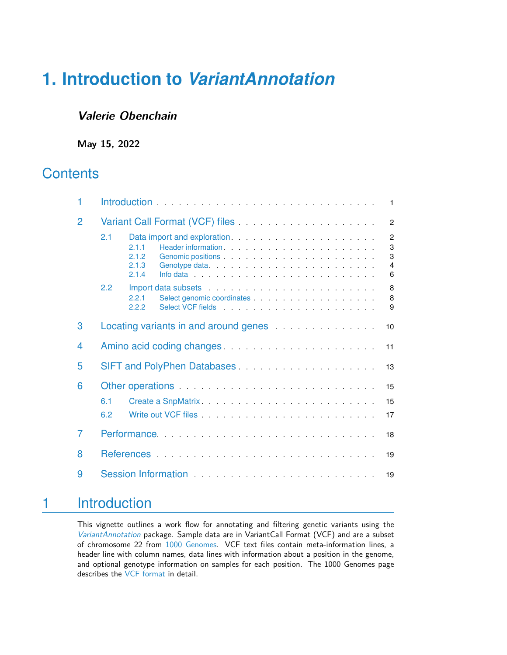## **Valerie Obenchain**

**May 15, 2022**

## **Contents**

| 1 |                                       |                                  |                                                                                                                                                                                                                                                                                                                                                                                                                                                                                                                                                                                                                                                                                                    |  |  |  |    |    |  |  |  |  |  |  | $\overline{1}$                                            |
|---|---------------------------------------|----------------------------------|----------------------------------------------------------------------------------------------------------------------------------------------------------------------------------------------------------------------------------------------------------------------------------------------------------------------------------------------------------------------------------------------------------------------------------------------------------------------------------------------------------------------------------------------------------------------------------------------------------------------------------------------------------------------------------------------------|--|--|--|----|----|--|--|--|--|--|--|-----------------------------------------------------------|
| 2 |                                       |                                  |                                                                                                                                                                                                                                                                                                                                                                                                                                                                                                                                                                                                                                                                                                    |  |  |  |    |    |  |  |  |  |  |  | $\overline{2}$                                            |
|   | 2.1                                   | 2.1.1<br>2.1.2<br>2.1.3<br>2.1.4 | Genomic positions entry and the set of the set of the set of the set of the set of the set of the set of the set of the set of the set of the set of the set of the set of the set of the set of the set of the set of the set                                                                                                                                                                                                                                                                                                                                                                                                                                                                     |  |  |  |    |    |  |  |  |  |  |  | $\overline{2}$<br>$\mathbf 3$<br>3<br>$\overline{4}$<br>6 |
|   | 2.2                                   | 2.2.1<br>2.2.2                   | Import data subsets experience and the set of the subsets of the set of the set of the set of the set of the set of the set of the set of the set of the set of the set of the set of the set of the set of the set of the set<br>Select genomic coordinates entering the selection of the selection of the selection of the selection of the selection of the selection of the selection of the selection of the selection of the selection of the selection of<br>Select VCF fields experience and the selection of the selection of the selection of the selection of the selection of the selection of the selection of the selection of the selection of the selection of the selection of th |  |  |  |    |    |  |  |  |  |  |  | 8<br>8<br>9                                               |
| 3 | Locating variants in and around genes |                                  |                                                                                                                                                                                                                                                                                                                                                                                                                                                                                                                                                                                                                                                                                                    |  |  |  | 10 |    |  |  |  |  |  |  |                                                           |
| 4 |                                       |                                  |                                                                                                                                                                                                                                                                                                                                                                                                                                                                                                                                                                                                                                                                                                    |  |  |  |    | 11 |  |  |  |  |  |  |                                                           |
| 5 |                                       |                                  |                                                                                                                                                                                                                                                                                                                                                                                                                                                                                                                                                                                                                                                                                                    |  |  |  |    | 13 |  |  |  |  |  |  |                                                           |
| 6 |                                       |                                  | Other operations enters and the set of the set of the set of the set of the set of the set of the set of the set of the set of the set of the set of the set of the set of the set of the set of the set of the set of the set                                                                                                                                                                                                                                                                                                                                                                                                                                                                     |  |  |  |    |    |  |  |  |  |  |  | 15                                                        |
|   | 6.1                                   |                                  |                                                                                                                                                                                                                                                                                                                                                                                                                                                                                                                                                                                                                                                                                                    |  |  |  |    |    |  |  |  |  |  |  | 15                                                        |
|   | 6.2                                   |                                  |                                                                                                                                                                                                                                                                                                                                                                                                                                                                                                                                                                                                                                                                                                    |  |  |  |    |    |  |  |  |  |  |  | 17                                                        |
| 7 | Performance                           |                                  |                                                                                                                                                                                                                                                                                                                                                                                                                                                                                                                                                                                                                                                                                                    |  |  |  |    | 18 |  |  |  |  |  |  |                                                           |
| 8 |                                       |                                  |                                                                                                                                                                                                                                                                                                                                                                                                                                                                                                                                                                                                                                                                                                    |  |  |  |    | 19 |  |  |  |  |  |  |                                                           |
| 9 | 19                                    |                                  |                                                                                                                                                                                                                                                                                                                                                                                                                                                                                                                                                                                                                                                                                                    |  |  |  |    |    |  |  |  |  |  |  |                                                           |

## <span id="page-0-0"></span>1 Introduction

This vignette outlines a work flow for annotating and filtering genetic variants using the [VariantAnnotation](http://bioconductor.org/packages/VariantAnnotation) package. Sample data are in VariantCall Format (VCF) and are a subset of chromosome 22 from [1000 Genomes.](ftp://ftp-trace.ncbi.nih.gov/1000genomes/ftp/release/20110521/) VCF text files contain meta-information lines, a header line with column names, data lines with information about a position in the genome, and optional genotype information on samples for each position. The 1000 Genomes page describes the [VCF format](http://www.1000genomes.org/wiki/Analysis/Variant%20Call%20Format/vcf-variant-call-format-version-41) in detail.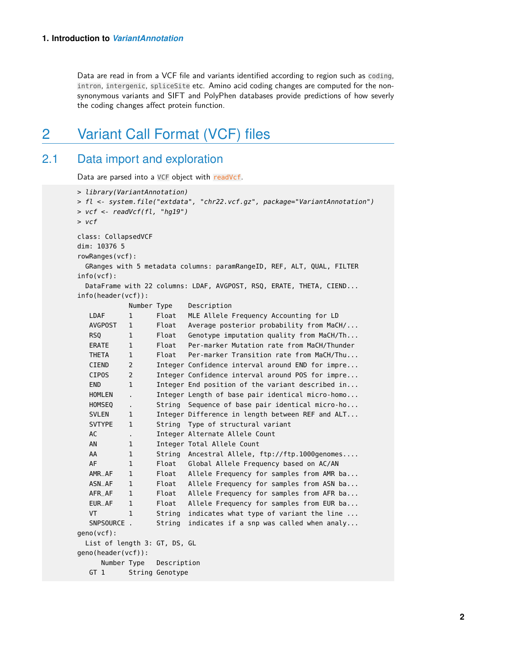<span id="page-1-0"></span>Data are read in from a VCF file and variants identified according to region such as coding, intron, intergenic, spliceSite etc. Amino acid coding changes are computed for the nonsynonymous variants and SIFT and PolyPhen databases provide predictions of how severly the coding changes affect protein function.

## 2 Variant Call Format (VCF) files

### 2.1 Data import and exploration

<span id="page-1-1"></span>Data are parsed into a VCF object with readVcf.

```
> library(VariantAnnotation)
> fl <- system.file("extdata", "chr22.vcf.gz", package="VariantAnnotation")
> vcf \leq- readVcf(fl, "hq19")
> vcf
class: CollapsedVCF
dim: 10376 5
rowRanges(vcf):
  GRanges with 5 metadata columns: paramRangeID, REF, ALT, QUAL, FILTER
info(vcf):
 DataFrame with 22 columns: LDAF, AVGPOST, RSQ, ERATE, THETA, CIEND...
info(header(vcf)):
           Number Type Description
  LDAF 1 Float MLE Allele Frequency Accounting for LD
  AVGPOST 1 Float Average posterior probability from MaCH/...
  RSQ 1 Float Genotype imputation quality from MaCH/Th...
  ERATE 1 Float Per-marker Mutation rate from MaCH/Thunder
  THETA 1 Float Per-marker Transition rate from MaCH/Thu...
  CIEND 2 Integer Confidence interval around END for impre...
  CIPOS 2 Integer Confidence interval around POS for impre...
  END 1 Integer End position of the variant described in...
  HOMLEN . Integer Length of base pair identical micro-homo...
  HOMSEQ . String Sequence of base pair identical micro-ho...
  SVLEN 1 Integer Difference in length between REF and ALT...
  SVTYPE 1 String Type of structural variant
  AC . Integer Alternate Allele Count
  AN 1 Integer Total Allele Count
  AA 1 String Ancestral Allele, ftp://ftp.1000genomes....
  AF 1 Float Global Allele Frequency based on AC/AN
  AMR_AF 1 Float Allele Frequency for samples from AMR ba...
  ASN_AF 1 Float Allele Frequency for samples from ASN ba...
  AFR_AF 1 Float Allele Frequency for samples from AFR ba...
  EUR_AF 1 Float Allele Frequency for samples from EUR ba...
  VT 1 String indicates what type of variant the line ...
  SNPSOURCE . String indicates if a snp was called when analy...
geno(vcf):
 List of length 3: GT, DS, GL
geno(header(vcf)):
     Number Type Description
  GT 1 String Genotype
```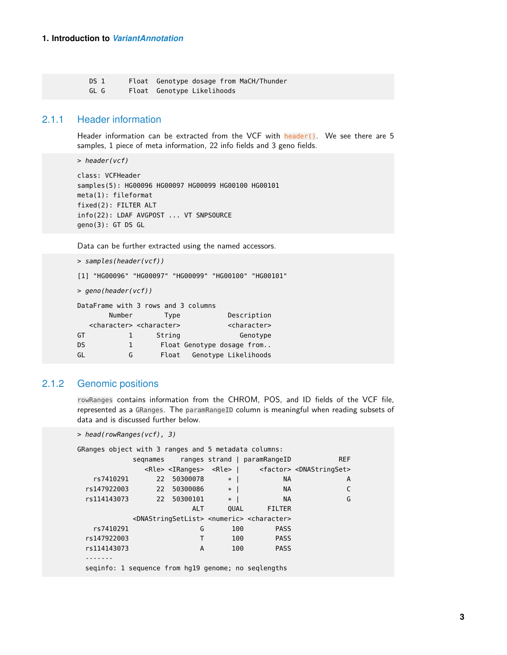<span id="page-2-0"></span>DS 1 Float Genotype dosage from MaCH/Thunder GL G Float Genotype Likelihoods

#### 2.1.1 Header information

Header information can be extracted from the VCF with header(). We see there are 5 samples, 1 piece of meta information, 22 info fields and 3 geno fields.

> header(vcf)

```
class: VCFHeader
samples(5): HG00096 HG00097 HG00099 HG00100 HG00101
meta(1): fileformat
fixed(2): FILTER ALT
info(22): LDAF AVGPOST ... VT SNPSOURCE
geno(3): GT DS GL
```
Data can be further extracted using the named accessors.

```
> samples(header(vcf))
```

```
[1] "HG00096" "HG00097" "HG00099" "HG00100" "HG00101"
```
> geno(header(vcf))

|                            |        | DataFrame with 3 rows and 3 columns             |           |
|----------------------------|--------|-------------------------------------------------|-----------|
| Description                | Type   | Number                                          |           |
| <character></character>    |        | <character> <character></character></character> |           |
| Genotype                   | String | L                                               | GT        |
| Float Genotype dosage from |        | 1                                               | <b>DS</b> |
| Genotype Likelihoods       | Float  | G                                               | GL        |

### 2.1.2 Genomic positions

<span id="page-2-1"></span>rowRanges contains information from the CHROM, POS, and ID fields of the VCF file, represented as a GRanges. The paramRangeID column is meaningful when reading subsets of data and is discussed further below.

```
> head(rowRanges(vcf), 3)
```

| GRanges object with 3 ranges and 5 metadata columns: |    |             |      |                                                                                   |                                                                                               |  |
|------------------------------------------------------|----|-------------|------|-----------------------------------------------------------------------------------|-----------------------------------------------------------------------------------------------|--|
|                                                      |    |             |      | segnames ranges strand   paramRangeID                                             | <b>REF</b>                                                                                    |  |
|                                                      |    |             |      |                                                                                   | <rle> <iranges> <rle>   <factor> <dnastringset></dnastringset></factor></rle></iranges></rle> |  |
| rs7410291                                            | 22 | 50300078    | $*$  | <b>NA</b>                                                                         | A                                                                                             |  |
| rs147922003                                          | 22 | 50300086 *  |      | <b>NA</b>                                                                         |                                                                                               |  |
| rs114143073                                          |    | 22 50300101 | $*$  | <b>NA</b>                                                                         | G                                                                                             |  |
|                                                      |    | <b>ALT</b>  | OUAL | FILTER                                                                            |                                                                                               |  |
|                                                      |    |             |      | <dnastringsetlist> <numeric> <character></character></numeric></dnastringsetlist> |                                                                                               |  |
| rs7410291                                            |    | G           | 100  | <b>PASS</b>                                                                       |                                                                                               |  |
| rs147922003                                          |    | T           | 100  | <b>PASS</b>                                                                       |                                                                                               |  |
| rs114143073                                          |    | A           | 100  | <b>PASS</b>                                                                       |                                                                                               |  |
|                                                      |    |             |      |                                                                                   |                                                                                               |  |
| seginfo: 1 sequence from hg19 genome; no seglengths  |    |             |      |                                                                                   |                                                                                               |  |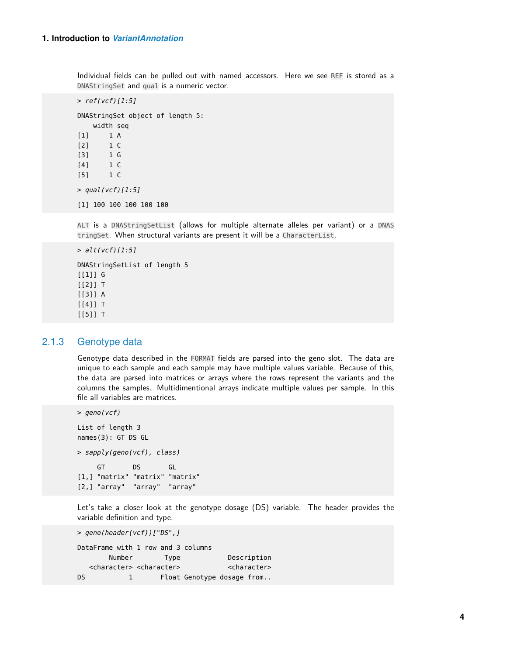Individual fields can be pulled out with named accessors. Here we see REF is stored as a DNAStringSet and qual is a numeric vector.

```
> ref(vcf)[1:5]DNAStringSet object of length 5:
   width seq
[1] 1 A
[2] 1 C
[3] 1 G
[4] 1 C
[5] 1 C
> qual(vcf)[1:5]
[1] 100 100 100 100 100
```
ALT is a DNAStringSetList (allows for multiple alternate alleles per variant) or a DNAS tringSet. When structural variants are present it will be a CharacterList.

```
> alt(vcf)[1:5]
```
DNAStringSetList of length 5 [[1]] G  $[2]$ ] T [[3]] A [[4]] T [[5]] T

#### 2.1.3 Genotype data

<span id="page-3-0"></span>Genotype data described in the FORMAT fields are parsed into the geno slot. The data are unique to each sample and each sample may have multiple values variable. Because of this, the data are parsed into matrices or arrays where the rows represent the variants and the columns the samples. Multidimentional arrays indicate multiple values per sample. In this file all variables are matrices.

```
> geno(vcf)
List of length 3
names(3): GT DS GL
> sapply(geno(vcf), class)
    GT DS GL
[1,] "matrix" "matrix" "matrix"
[2,] "array" "array" "array"
```
Let's take a closer look at the genotype dosage (DS) variable. The header provides the variable definition and type.

```
> geno(header(vcf))["DS",]
DataFrame with 1 row and 3 columns
      Number Type Description
  <character> <character> <character>
DS 1 Float Genotype dosage from..
```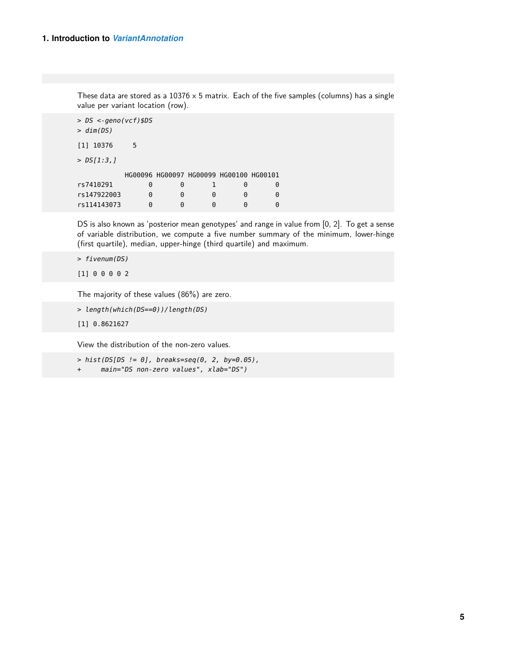These data are stored as a  $10376 \times 5$  matrix. Each of the five samples (columns) has a single value per variant location (row).

```
> DS <-geno(vcf)$DS
> dim(DS)[1] 10376 5
> DS[1:3,]
       HG00096 HG00097 HG00099 HG00100 HG00101
rs7410291 0 0 1 0 0
rs147922003 0 0 0 0 0
rs114143073 0 0 0 0 0
```
DS is also known as 'posterior mean genotypes' and range in value from [0, 2]. To get a sense of variable distribution, we compute a five number summary of the minimum, lower-hinge (first quartile), median, upper-hinge (third quartile) and maximum.

> fivenum(DS)

[1] 0 0 0 0 2

The majority of these values (86%) are zero.

```
> length(which(DS==0))/length(DS)
```
[1] 0.8621627

View the distribution of the non-zero values.

- $> hist(DS[DS != 0], breaks=seq(0, 2, by=0.05),$
- + main="DS non-zero values", xlab="DS")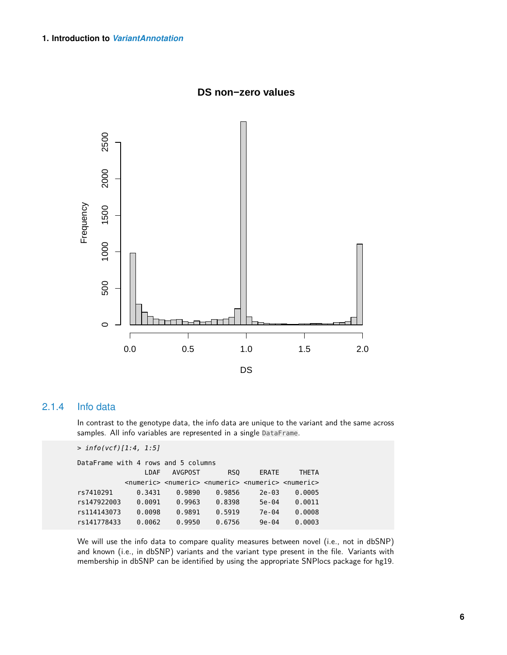

**DS non−zero values**

### 2.1.4 Info data

<span id="page-5-0"></span>In contrast to the genotype data, the info data are unique to the variant and the same across samples. All info variables are represented in a single DataFrame.

```
> info(vcf)[1:4, 1:5]
```

| DataFrame with 4 rows and 5 columns |        |         |                                                                                                     |           |              |
|-------------------------------------|--------|---------|-----------------------------------------------------------------------------------------------------|-----------|--------------|
|                                     | I DAF  | AVGPOST | RS <sub>0</sub>                                                                                     | ERATE     | <b>THFTA</b> |
|                                     |        |         | <numeric> <numeric> <numeric> <numeric> <numeric></numeric></numeric></numeric></numeric></numeric> |           |              |
| rs7410291                           | 0.3431 | 0.9890  | 0.9856                                                                                              | $2e - 03$ | 0.0005       |
| rs147922003                         | 0.0091 | 0.9963  | 0.8398                                                                                              | $5e - 04$ | 0.0011       |
| rs114143073                         | 0.0098 | 0.9891  | 0.5919                                                                                              | 7e-04     | 0.0008       |
| rs141778433                         | 0.0062 | 0.9950  | 0.6756                                                                                              | $9e - 04$ | 0.0003       |

We will use the info data to compare quality measures between novel (i.e., not in dbSNP) and known (i.e., in dbSNP) variants and the variant type present in the file. Variants with membership in dbSNP can be identified by using the appropriate SNPlocs package for hg19.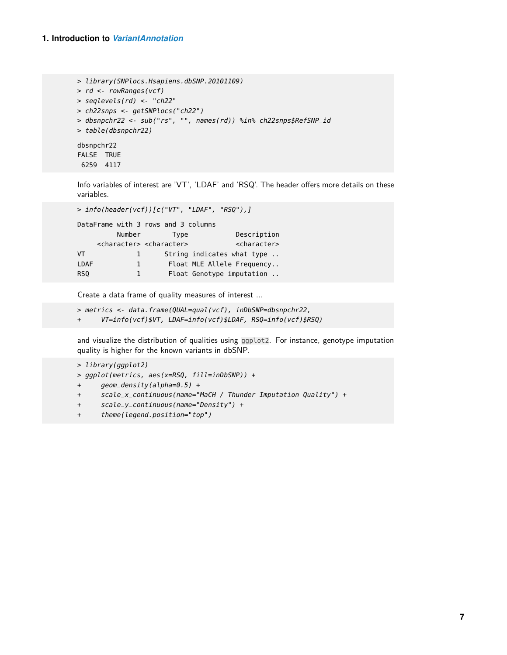```
> library(SNPlocs.Hsapiens.dbSNP.20101109)
> rd <- rowRanges(vcf)
> seqlevels(rd) <- "ch22"
> ch22snps <- getSNPlocs("ch22")
> dbsnpchr22 <- sub("rs", "", names(rd)) %in% ch22snps$RefSNP_id
> table(dbsnpchr22)
dbsnpchr22
FALSE TRUE
 6259 4117
```
Info variables of interest are 'VT', 'LDAF' and 'RSQ'. The header offers more details on these variables.

```
> info(header(vcf))[c("VT", "LDAF", "RSQ"),]
DataFrame with 3 rows and 3 columns
       Number Type Description
   <character> <character> <character>
VT 1 String indicates what type ..
LDAF 1 Float MLE Allele Frequency..
RSQ 1 Float Genotype imputation ..
```
Create a data frame of quality measures of interest ...

```
> metrics <- data.frame(QUAL=qual(vcf), inDbSNP=dbsnpchr22,
+ VT=info(vcf)$VT, LDAF=info(vcf)$LDAF, RSQ=info(vcf)$RSQ)
```
and visualize the distribution of qualities using ggplot2. For instance, genotype imputation quality is higher for the known variants in dbSNP.

```
> library(ggplot2)
```

```
> ggplot(metrics, aes(x=RSQ, fill=inDbSNP)) +
```

```
+ geom_density(alpha=0.5) +
```

```
+ scale_x_continuous(name="MaCH / Thunder Imputation Quality") +
```

```
+ scale_y_continuous(name="Density") +
```
+ theme(legend.position="top")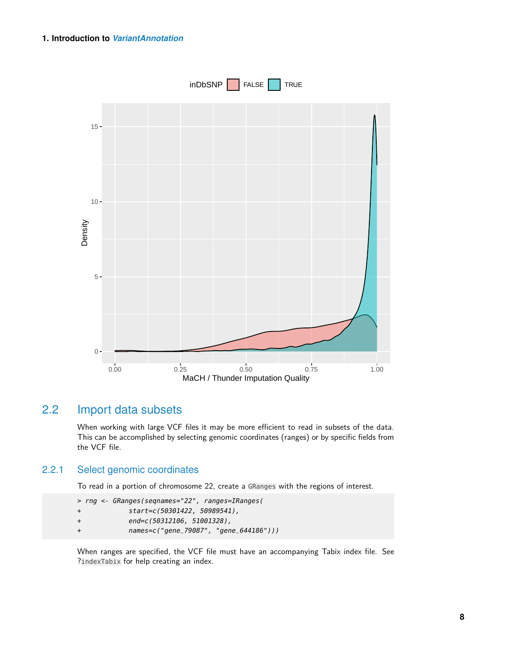

### 2.2 Import data subsets

<span id="page-7-1"></span><span id="page-7-0"></span>When working with large VCF files it may be more efficient to read in subsets of the data. This can be accomplished by selecting genomic coordinates (ranges) or by specific fields from the VCF file.

#### 2.2.1 Select genomic coordinates

To read in a portion of chromosome 22, create a GRanges with the regions of interest.

```
> rng <- GRanges(seqnames="22", ranges=IRanges(
+ start=c(50301422, 50989541),
+ end=c(50312106, 51001328),
+ names=c("gene_79087", "gene_644186")))
```
When ranges are specified, the VCF file must have an accompanying Tabix index file. See ?indexTabix for help creating an index.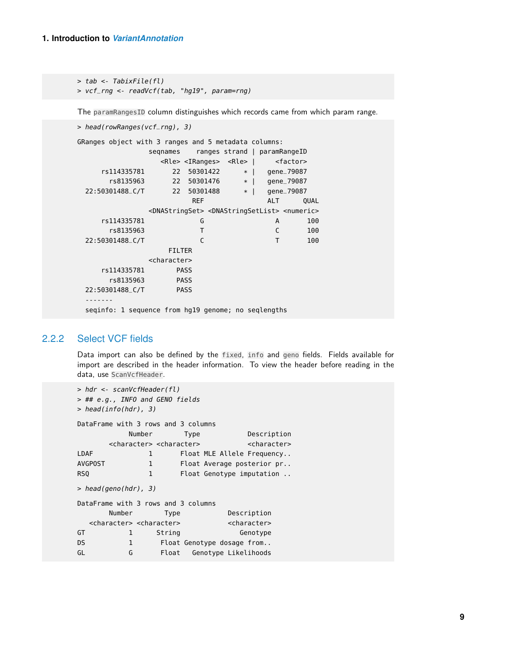> tab <- TabixFile(fl) > vcf\_rng <- readVcf(tab, "hg19", param=rng)

The paramRangesID column distinguishes which records came from which param range.

```
> head(rowRanges(vcf_rng), 3)
GRanges object with 3 ranges and 5 metadata columns:
             seqnames ranges strand | paramRangeID
               <Rle> <IRanges> <Rle> | <factor>
    rs114335781 22 50301422 * | gene_79087
      rs8135963 22 50301476 * | gene_79087
 22:50301488_C/T 22 50301488 * | gene_79087
                     REF ALT QUAL
             <DNAStringSet> <DNAStringSetList> <numeric>
    rs114335781 G A 100
      rs8135963 T C 100
 22:50301488_C/T C T 100
                FILTER
             <character>
    rs114335781 PASS
      rs8135963 PASS
 22:50301488_C/T PASS
 -------
 seqinfo: 1 sequence from hg19 genome; no seqlengths
```
### 2.2.2 Select VCF fields

<span id="page-8-0"></span>Data import can also be defined by the fixed, info and geno fields. Fields available for import are described in the header information. To view the header before reading in the data, use ScanVcfHeader.

```
> hdr <- scanVcfHeader(fl)
> ## e.g., INFO and GENO fields
> head(info(hdr), 3)
DataFrame with 3 rows and 3 columns
         Number Type Description
      <character> <character> <character>
LDAF 1 Float MLE Allele Frequency..
AVGPOST 1 Float Average posterior pr..
RSQ 1 Float Genotype imputation ..
> head(geno(hdr), 3)
DataFrame with 3 rows and 3 columns
      Number Type Description
  <character> <character> <character>
GT 1 String Genotype
DS 1 Float Genotype dosage from..
GL G Float Genotype Likelihoods
```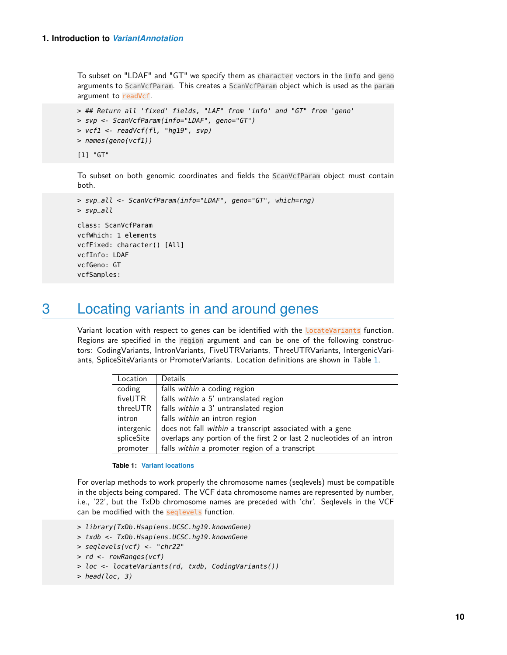<span id="page-9-0"></span>vcfSamples:

To subset on "LDAF" and "GT" we specify them as character vectors in the info and geno arguments to ScanVcfParam. This creates a ScanVcfParam object which is used as the param argument to readVcf.

```
> ## Return all 'fixed' fields, "LAF" from 'info' and "GT" from 'geno'
> svp <- ScanVcfParam(info="LDAF", geno="GT")
> vcf1 <- readVcf(fl, "hg19", svp)
> names(geno(vcf1))
[1] "GT"
```
To subset on both genomic coordinates and fields the ScanVcfParam object must contain both.

```
> svp_all <- ScanVcfParam(info="LDAF", geno="GT", which=rng)
> svp_all
class: ScanVcfParam
vcfWhich: 1 elements
vcfFixed: character() [All]
vcfInfo: LDAF
vcfGeno: GT
```
## 3 Locating variants in and around genes

Variant location with respect to genes can be identified with the **LocateVariants** function. Regions are specified in the region argument and can be one of the following constructors: CodingVariants, IntronVariants, FiveUTRVariants, ThreeUTRVariants, IntergenicVariants, SpliceSiteVariants or PromoterVariants. Location definitions are shown in Table [1.](#page-9-1)

<span id="page-9-1"></span>

| Location   | Details                                                                |
|------------|------------------------------------------------------------------------|
| coding     | falls within a coding region                                           |
| fiveUTR    | falls within a 5' untranslated region                                  |
| threeUTR   | falls within a 3' untranslated region                                  |
| intron     | falls within an intron region                                          |
| intergenic | does not fall within a transcript associated with a gene               |
| spliceSite | overlaps any portion of the first 2 or last 2 nucleotides of an intron |
| promoter   | falls within a promoter region of a transcript                         |

#### **Table 1: Variant locations**

For overlap methods to work properly the chromosome names (seqlevels) must be compatible in the objects being compared. The VCF data chromosome names are represented by number, i.e., '22', but the TxDb chromosome names are preceded with 'chr'. Seqlevels in the VCF can be modified with the seqlevels function.

- > library(TxDb.Hsapiens.UCSC.hg19.knownGene)
- > txdb <- TxDb.Hsapiens.UCSC.hg19.knownGene
- > seqlevels(vcf) <- "chr22"

```
> rd <- rowRanges(vcf)
```

```
> loc <- locateVariants(rd, txdb, CodingVariants())
```

```
> head(loc, 3)
```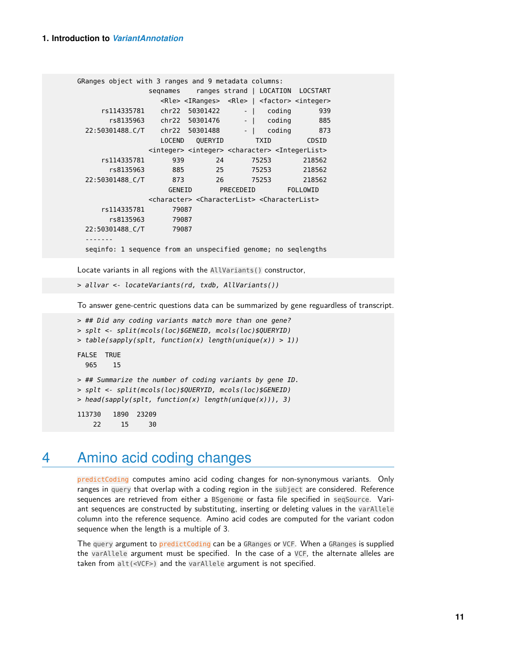```
GRanges object with 3 ranges and 9 metadata columns:
              seqnames ranges strand | LOCATION LOCSTART
                <Rle> <IRanges> <Rle> | <factor> <integer>
    rs114335781 chr22 50301422 - | coding 939
      rs8135963 chr22 50301476 - | coding 885
 22:50301488_C/T chr22 50301488 - | coding 873
                LOCEND QUERYID TXID CDSID
              <integer> <integer> <character> <IntegerList>
    rs114335781 939 24 75253 218562
      rs8135963 885 25 75253 218562
 22:50301488_C/T 873 26 75253 218562
                 GENEID PRECEDEID FOLLOWID
              <character> <CharacterList> <CharacterList>
    rs114335781 79087
      rs8135963 79087
 22:50301488_C/T 79087
 -------
 seqinfo: 1 sequence from an unspecified genome; no seqlengths
```
Locate variants in all regions with the AllVariants() constructor,

```
> allvar <- locateVariants(rd, txdb, AllVariants())
```
To answer gene-centric questions data can be summarized by gene reguardless of transcript.

```
> ## Did any coding variants match more than one gene?
> splt <- split(mcols(loc)$GENEID, mcols(loc)$QUERYID)
> table(sapply(splt, function(x) length(unique(x)) > 1))
FALSE TRUE
  965 15
> ## Summarize the number of coding variants by gene ID.
> splt <- split(mcols(loc)$QUERYID, mcols(loc)$GENEID)
> head(sapply(splt, function(x) length(unique(x))), 3)
113730 1890 23209
    22 15 30
```
## <span id="page-10-0"></span>4 Amino acid coding changes

predictCoding computes amino acid coding changes for non-synonymous variants. Only ranges in query that overlap with a coding region in the subject are considered. Reference sequences are retrieved from either a BSgenome or fasta file specified in seqSource. Variant sequences are constructed by substituting, inserting or deleting values in the varAllele column into the reference sequence. Amino acid codes are computed for the variant codon sequence when the length is a multiple of 3.

The query argument to predictCoding can be a GRanges or VCF. When a GRanges is supplied the varAllele argument must be specified. In the case of a VCF, the alternate alleles are taken from alt(<VCF>) and the varAllele argument is not specified.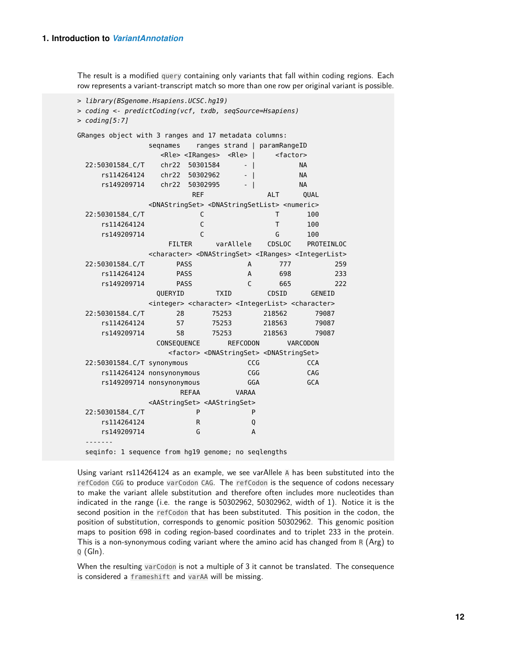The result is a modified query containing only variants that fall within coding regions. Each row represents a variant-transcript match so more than one row per original variant is possible.

```
> library(BSgenome.Hsapiens.UCSC.hg19)
> coding <- predictCoding(vcf, txdb, seqSource=Hsapiens)
> coding[5:7]GRanges object with 3 ranges and 17 metadata columns:
            seqnames ranges strand | paramRangeID
              <Rle> <IRanges> <Rle> | <factor>
 22:50301584_C/T chr22 50301584 - | NA
    rs114264124 chr22 50302962 - | NA
    rs149209714 chr22 50302995 - | NA
                   REF ALT OUAL
            <DNAStringSet> <DNAStringSetList> <numeric>
 22:50301584_C/T C T 100
    rs114264124 C T 100
    rs149209714 C G 100
               FILTER varAllele CDSLOC PROTEINLOC
            <character> <DNAStringSet> <IRanges> <IntegerList>
 22:50301584_C/T PASS A 777 259
    rs114264124 PASS A 698 233
    rs149209714 PASS C 665 222
             QUERYID TXID CDSID GENEID
            <integer> <character> <IntegerList> <character>
 22:50301584_C/T 28 75253 218562 79087
    rs114264124 57 75253 218563 79087
    rs149209714 58 75253 218563 79087
             CONSEQUENCE REFCODON VARCODON
               <factor> <DNAStringSet> <DNAStringSet>
 22:50301584_C/T synonymous CCG CCA
    rs114264124 nonsynonymous CGG CAG
    rs149209714 nonsynonymous GGA GCA
                 REFAA VARAA
            <AAStringSet> <AAStringSet>
 22:50301584_C/T P P
    rs114264124 R Q
    rs149209714 G A
 -------
 seqinfo: 1 sequence from hg19 genome; no seqlengths
```
Using variant rs114264124 as an example, we see varAllele A has been substituted into the refCodon CGG to produce varCodon CAG. The refCodon is the sequence of codons necessary to make the variant allele substitution and therefore often includes more nucleotides than indicated in the range (i.e. the range is 50302962, 50302962, width of 1). Notice it is the second position in the refCodon that has been substituted. This position in the codon, the position of substitution, corresponds to genomic position 50302962. This genomic position maps to position 698 in coding region-based coordinates and to triplet 233 in the protein. This is a non-synonymous coding variant where the amino acid has changed from  $R(Arg)$  to  $Q$  (Gln).

When the resulting varCodon is not a multiple of 3 it cannot be translated. The consequence is considered a frameshift and varAA will be missing.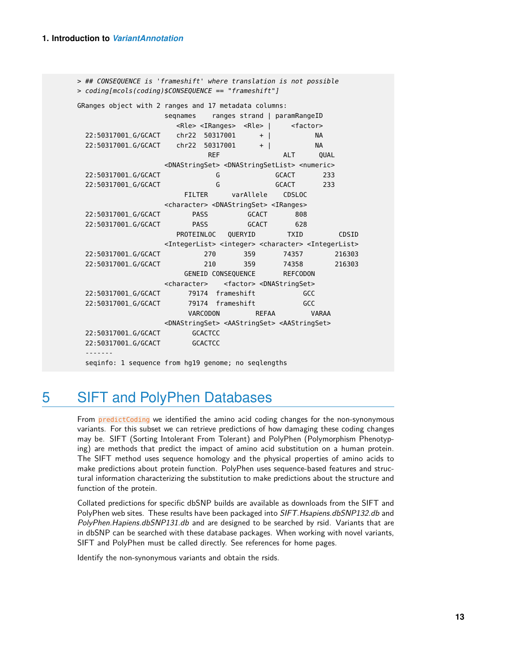```
> ## CONSEQUENCE is 'frameshift' where translation is not possible
> coding[mcols(coding)$CONSEQUENCE == "frameshift"]
GRanges object with 2 ranges and 17 metadata columns:
                 segnames ranges strand | paramRangeID
                   <Rle> <IRanges> <Rle> | <factor>
 22:50317001_G/GCACT chr22 50317001 + | NA
 22:50317001_G/GCACT chr22 50317001 + | NA
                         REF ALT QUAL
                 <DNAStringSet> <DNAStringSetList> <numeric>
 22:50317001_G/GCACT G GCACT 233
 22:50317001_G/GCACT G GCACT 233
                    FILTER varAllele CDSLOC
                 <character> <DNAStringSet> <IRanges>
 22:50317001_G/GCACT PASS GCACT 808
 22:50317001_G/GCACT PASS GCACT 628
                   PROTEINLOC QUERYID TXID CDSID
                 <IntegerList> <integer> <character> <IntegerList>
 22:50317001_G/GCACT 270 359 74357 216303
 22:50317001_G/GCACT 210 359 74358 216303
                    GENEID CONSEQUENCE REFCODON
                 <character> <factor> <DNAStringSet>
 22:50317001_G/GCACT 79174 frameshift GCC
 22:50317001_G/GCACT 79174 frameshift GCC
                     VARCODON REFAA VARAA
                 <DNAStringSet> <AAStringSet> <AAStringSet>
 22:50317001_G/GCACT GCACTCC
 22:50317001_G/GCACT GCACTCC
 -------
 seqinfo: 1 sequence from hg19 genome; no seqlengths
```
## <span id="page-12-0"></span>5 SIFT and PolyPhen Databases

From predictCoding we identified the amino acid coding changes for the non-synonymous variants. For this subset we can retrieve predictions of how damaging these coding changes may be. SIFT (Sorting Intolerant From Tolerant) and PolyPhen (Polymorphism Phenotyping) are methods that predict the impact of amino acid substitution on a human protein. The SIFT method uses sequence homology and the physical properties of amino acids to make predictions about protein function. PolyPhen uses sequence-based features and structural information characterizing the substitution to make predictions about the structure and function of the protein.

Collated predictions for specific dbSNP builds are available as downloads from the SIFT and PolyPhen web sites. These results have been packaged into SIFT. Hsapiens.dbSNP132.db and PolyPhen. Hapiens.dbSNP131.db and are designed to be searched by rsid. Variants that are in dbSNP can be searched with these database packages. When working with novel variants, SIFT and PolyPhen must be called directly. See references for home pages.

Identify the non-synonymous variants and obtain the rsids.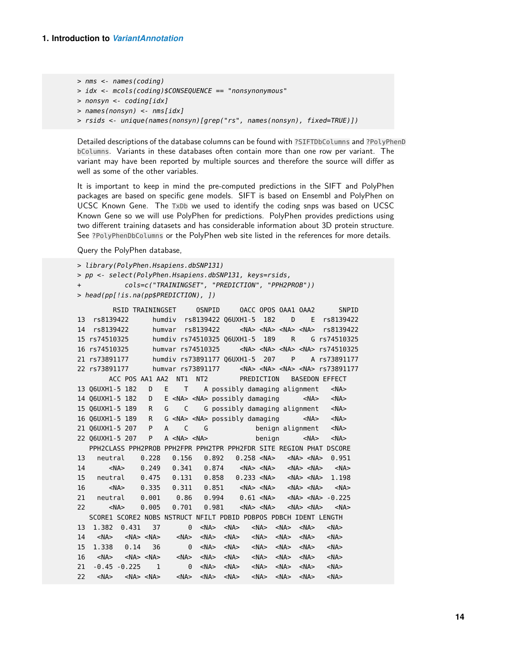```
> nms <- names(coding)
```

```
> idx <- mcols(coding)$CONSEQUENCE == "nonsynonymous"
```

```
> nonsyn <- coding[idx]
```

```
> names(nonsyn) <- nms[idx]
```

```
> rsids <- unique(names(nonsyn)[grep("rs", names(nonsyn), fixed=TRUE)])
```
Detailed descriptions of the database columns can be found with ?SIFTDbColumns and ?PolyPhenD bColumns. Variants in these databases often contain more than one row per variant. The variant may have been reported by multiple sources and therefore the source will differ as well as some of the other variables.

It is important to keep in mind the pre-computed predictions in the SIFT and PolyPhen packages are based on specific gene models. SIFT is based on Ensembl and PolyPhen on UCSC Known Gene. The TxDb we used to identify the coding snps was based on UCSC Known Gene so we will use PolyPhen for predictions. PolyPhen provides predictions using two different training datasets and has considerable information about 3D protein structure. See ?PolyPhenDbColumns or the PolyPhen web site listed in the references for more details.

Query the PolyPhen database,

```
> library(PolyPhen.Hsapiens.dbSNP131)
> pp <- select(PolyPhen.Hsapiens.dbSNP131, keys=rsids,
+ cols=c("TRAININGSET", "PREDICTION", "PPH2PROB"))
> head(pp[!is.na(pp$PREDICTION), ])
```

```
RSID TRAININGSET OSNPID OACC OPOS OAA1 OAA2 SNPID
13 rs8139422 humdiv rs8139422 Q6UXH1-5 182 D E rs8139422
14 rs8139422 humvar rs8139422 <NA> <NA> <NA> <NA> rs8139422
15 rs74510325 humdiv rs74510325 Q6UXH1-5 189 R G rs74510325
16 rs74510325 humvar rs74510325 <NA> <NA> <NA> <NA> rs74510325
21 rs73891177 humdiv rs73891177 Q6UXH1-5 207 P A rs73891177
22 rs73891177 humvar rs73891177 <NA> <NA> <NA> <NA> rs73891177
      ACC POS AA1 AA2 NT1 NT2 PREDICTION BASEDON EFFECT
13 Q6UXH1-5 182 D E T A possibly damaging alignment <NA>
14 Q6UXH1-5 182 D E <NA> <NA> possibly damaging <NA> <NA>
15 Q6UXH1-5 189 R G C G possibly damaging alignment <NA>
16 Q6UXH1-5 189 R G <NA> <NA> possibly damaging <NA> <NA>
21 Q6UXH1-5 207 P A C G benign alignment <NA>
22 Q6UXH1-5 207 P A <NA> <NA> benign <NA> <NA>
  PPH2CLASS PPH2PROB PPH2FPR PPH2TPR PPH2FDR SITE REGION PHAT DSCORE
13 neutral 0.228 0.156 0.892 0.258 <NA> <NA> <NA> 0.951
14 <NA> 0.249 0.341 0.874 <NA> <NA> <NA> <NA> <NA>
15 neutral 0.475 0.131 0.858 0.233 <NA> <NA> <NA> 1.198
16 <NA> 0.335 0.311 0.851 <NA> <NA> <NA> <NA> <NA>
21 neutral 0.001 0.86 0.994 0.61 <NA> <NA> <NA> -0.225
22 <NA> 0.005 0.701 0.981 <NA> <NA> <NA> <NA> <NA>
  SCORE1 SCORE2 NOBS NSTRUCT NFILT PDBID PDBPOS PDBCH IDENT LENGTH
13 1.382 0.431 37 0 <NA> <NA> <NA> <NA> <NA> <NA>
14 <NA> <NA> <NA> <NA> <NA> <NA> <NA> <NA> <NA> <NA>
15 1.338 0.14 36 0 <NA> <NA> <NA> <NA> <NA> <NA>
16 <NA> <NA> <NA> <NA> <NA> <NA> <NA> <NA> <NA> <NA>
21 -0.45 -0.225 1 0 <NA> <NA> <NA> <NA> <NA> <NA>
22 <NA> <NA> <NA> <NA> <NA> <NA> <NA> <NA> <NA> <NA>
```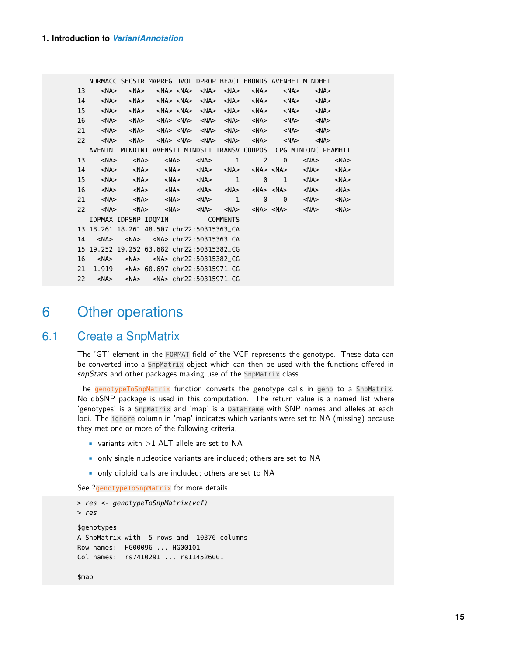|    |                  | NORMACC SECSTR MAPREG DVOL DPROP BFACT HBONDS AVENHET MINDHET     |                                                                       |  |           |                                              |                                                    |                     |
|----|------------------|-------------------------------------------------------------------|-----------------------------------------------------------------------|--|-----------|----------------------------------------------|----------------------------------------------------|---------------------|
|    | 13<br>$<$ NA $>$ |                                                                   | <na> <na> <na> <na> <na> <na> <na></na></na></na></na></na></na></na> |  |           |                                              | <na><br/><math>&lt;</math>NA<math>&gt;</math></na> |                     |
| 14 |                  |                                                                   |                                                                       |  |           |                                              | $<$ NA $>$                                         |                     |
| 15 |                  |                                                                   |                                                                       |  |           |                                              | $<$ NA $>$                                         |                     |
| 16 |                  |                                                                   |                                                                       |  |           |                                              | $<$ NA $>$                                         |                     |
| 21 | $<$ NA $>$       |                                                                   |                                                                       |  |           |                                              | $<$ NA $>$                                         |                     |
| 22 |                  |                                                                   |                                                                       |  |           |                                              | <na></na>                                          |                     |
|    |                  | AVENINT MINDINT AVENSIT MINDSIT TRANSV CODPOS CPG MINDJNC PFAMHIT |                                                                       |  |           |                                              |                                                    |                     |
| 13 | $<$ NA $>$       |                                                                   | <na> <na></na></na>                                                   |  | $<$ NA> 1 | $2 \qquad \qquad \theta$                     | <na></na>                                          | $<$ NA $>$          |
| 14 | $<$ NA $>$       |                                                                   | <na> <na> <na> <na> <na> <na> <na></na></na></na></na></na></na></na> |  |           |                                              | <na></na>                                          | $<$ NA $>$          |
| 15 | $<$ NA $>$       |                                                                   | <na> <na> <na> 1</na></na></na>                                       |  |           | $\begin{array}{ccc} & & 0 & & 1 \end{array}$ |                                                    | <na> <na></na></na> |
| 16 |                  |                                                                   |                                                                       |  |           |                                              |                                                    | $<$ NA $>$          |
| 21 | $<$ NA $>$       |                                                                   | <na> <na> <na> 1</na></na></na>                                       |  |           |                                              | 0 0 <na></na>                                      | ≺NA>                |
| 22 | $<$ NA $>$       |                                                                   |                                                                       |  |           |                                              |                                                    |                     |
|    |                  | IDPMAX IDPSNP IDOMIN COMMENTS                                     |                                                                       |  |           |                                              |                                                    |                     |
|    |                  | 13 18.261 18.261 48.507 chr22:50315363_CA                         |                                                                       |  |           |                                              |                                                    |                     |
| 14 | $<$ NA $>$       |                                                                   |                                                                       |  |           |                                              |                                                    |                     |
|    |                  | 15 19.252 19.252 63.682 chr22:50315382_CG                         |                                                                       |  |           |                                              |                                                    |                     |
| 16 |                  |                                                                   |                                                                       |  |           |                                              |                                                    |                     |
| 21 |                  | 1.919 <na> 60.697 chr22:50315971_CG</na>                          |                                                                       |  |           |                                              |                                                    |                     |
| 22 |                  |                                                                   |                                                                       |  |           |                                              |                                                    |                     |

## <span id="page-14-0"></span>6 Other operations

### 6.1 Create a SnpMatrix

<span id="page-14-1"></span>The 'GT' element in the FORMAT field of the VCF represents the genotype. These data can be converted into a SnpMatrix object which can then be used with the functions offered in snpStats and other packages making use of the SnpMatrix class.

The genotypeToSnpMatrix function converts the genotype calls in geno to a SnpMatrix. No dbSNP package is used in this computation. The return value is a named list where 'genotypes' is a SnpMatrix and 'map' is a DataFrame with SNP names and alleles at each loci. The ignore column in 'map' indicates which variants were set to NA (missing) because they met one or more of the following criteria,

- variants with  $>1$  ALT allele are set to NA
- only single nucleotide variants are included; others are set to NA
- only diploid calls are included; others are set to NA

See ?genotypeToSnpMatrix for more details.

```
> res <- genotypeToSnpMatrix(vcf)
> res
$genotypes
A SnpMatrix with 5 rows and 10376 columns
Row names: HG00096 ... HG00101
Col names: rs7410291 ... rs114526001
```
\$map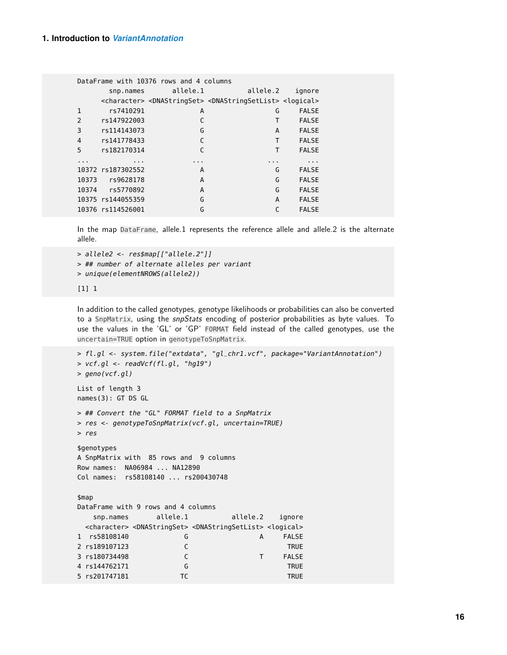|              |                   | DataFrame with 10376 rows and 4 columns |                                                                                                                 |              |  |
|--------------|-------------------|-----------------------------------------|-----------------------------------------------------------------------------------------------------------------|--------------|--|
|              |                   | snp.names allele.1                      | allele.2                                                                                                        | ignore       |  |
|              |                   |                                         | <character> <dnastringset> <dnastringsetlist> <logical></logical></dnastringsetlist></dnastringset></character> |              |  |
| $\mathbf{1}$ | rs7410291         | A                                       | G                                                                                                               | <b>FALSE</b> |  |
| 2            | rs147922003       | C                                       | Т                                                                                                               | <b>FALSE</b> |  |
| 3            | rs114143073       | G                                       | A                                                                                                               | <b>FALSE</b> |  |
| 4            | rs141778433       | C                                       | T                                                                                                               | <b>FALSE</b> |  |
| 5            | rs182170314       | C                                       | т                                                                                                               | <b>FALSE</b> |  |
| $\cdots$     | $\cdots$          | $\cdots$                                | $\cdots$                                                                                                        | $\cdots$     |  |
|              | 10372 rs187302552 | A                                       | G                                                                                                               | <b>FALSE</b> |  |
|              | 10373 rs9628178   | A                                       | G                                                                                                               | <b>FALSE</b> |  |
|              | 10374 rs5770892   | A                                       | G                                                                                                               | <b>FALSE</b> |  |
|              | 10375 rs144055359 | G                                       | A                                                                                                               | <b>FALSE</b> |  |
|              | 10376 rs114526001 | G                                       |                                                                                                                 | <b>FALSE</b> |  |

In the map DataFrame, allele.1 represents the reference allele and allele.2 is the alternate allele.

```
> allele2 <- res$map[["allele.2"]]
> ## number of alternate alleles per variant
> unique(elementNROWS(allele2))
```
#### [1] 1

In addition to the called genotypes, genotype likelihoods or probabilities can also be converted to a SnpMatrix, using the snpStats encoding of posterior probabilities as byte values. To use the values in the 'GL' or 'GP' FORMAT field instead of the called genotypes, use the uncertain=TRUE option in genotypeToSnpMatrix.

```
> fl.gl <- system.file("extdata", "gl_chr1.vcf", package="VariantAnnotation")
> vcf.gl <- readVcf(fl.gl, "hg19")
> geno(vcf.gl)
List of length 3
names(3): GT DS GL
> ## Convert the "GL" FORMAT field to a SnpMatrix
> res <- genotypeToSnpMatrix(vcf.gl, uncertain=TRUE)
> res
$genotypes
A SnpMatrix with 85 rows and 9 columns
Row names: NA06984 ... NA12890
Col names: rs58108140 ... rs200430748
$map
DataFrame with 9 rows and 4 columns
   snp.names allele.1 allele.2 ignore
 <character> <DNAStringSet> <DNAStringSetList> <logical>
1 rs58108140       G           A FALSE
2 rs189107123 C TRUE
3 rs180734498 C T FALSE
4 rs144762171 G TRUE
5 rs201747181 TC TRUE
```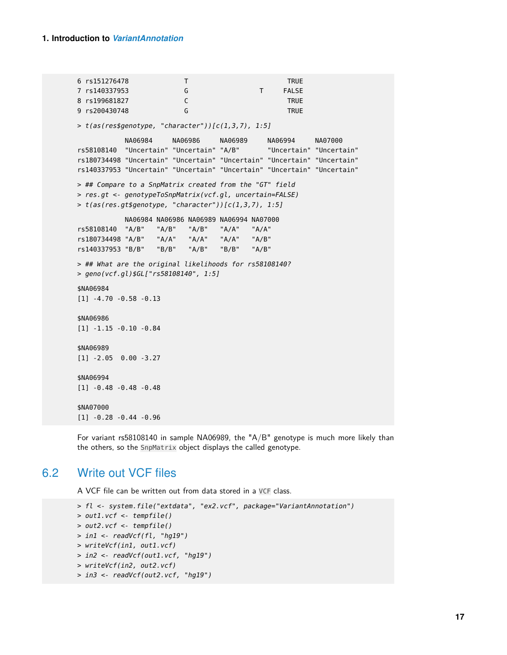6 rs151276478 T T TRUE 7 rs140337953 G T FALSE 8 rs199681827 C TRUE 9 rs200430748 G TRUE > t(as(res\$genotype, "character"))[c(1,3,7), 1:5] NA06984 NA06986 NA06989 NA06994 NA07000 rs58108140 "Uncertain" "Uncertain" "A/B" "Uncertain" "Uncertain" rs180734498 "Uncertain" "Uncertain" "Uncertain" "Uncertain" "Uncertain" rs140337953 "Uncertain" "Uncertain" "Uncertain" "Uncertain" "Uncertain" > ## Compare to a SnpMatrix created from the "GT" field > res.gt <- genotypeToSnpMatrix(vcf.gl, uncertain=FALSE) > t(as(res.gt\$genotype, "character"))[c(1,3,7), 1:5] NA06984 NA06986 NA06989 NA06994 NA07000 rs58108140 "A/B" "A/B" "A/B" "A/A" "A/A" rs180734498 "A/B" "A/A" "A/A" "A/A" "A/B" rs140337953 "B/B" "B/B" "A/B" "B/B" "A/B" > ## What are the original likelihoods for rs58108140? > geno(vcf.gl)\$GL["rs58108140", 1:5] \$NA06984 [1] -4.70 -0.58 -0.13 \$NA06986 [1] -1.15 -0.10 -0.84 \$NA06989 [1] -2.05 0.00 -3.27 \$NA06994 [1] -0.48 -0.48 -0.48 \$NA07000 [1] -0.28 -0.44 -0.96

<span id="page-16-0"></span>For variant rs58108140 in sample NA06989, the "A/B" genotype is much more likely than the others, so the SnpMatrix object displays the called genotype.

### 6.2 Write out VCF files

A VCF file can be written out from data stored in a VCF class.

```
> fl <- system.file("extdata", "ex2.vcf", package="VariantAnnotation")
> out1.vcf <- tempfile()
> out2.vcf <- tempfile()
> in1 <- readVcf(fl, "hg19")
> writeVcf(in1, out1.vcf)
> in2 <- readVcf(out1.vcf, "hg19")
> writeVcf(in2, out2.vcf)
> in3 <- readVcf(out2.vcf, "hg19")
```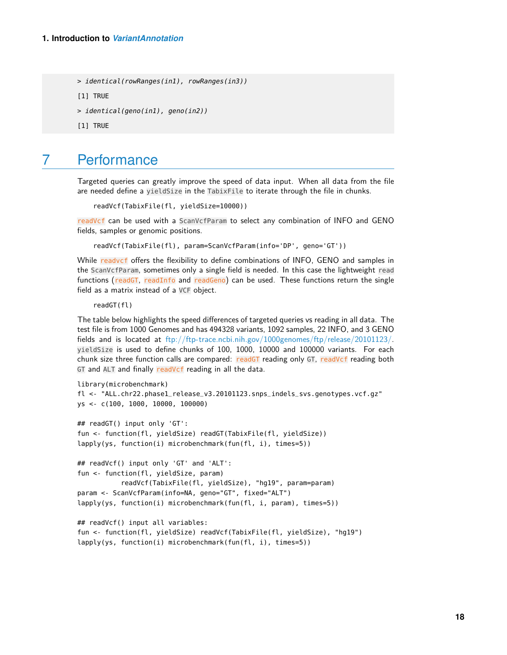```
> identical(rowRanges(in1), rowRanges(in3))
[1] TRUE
> identical(geno(in1), geno(in2))
[1] TRUE
```
## <span id="page-17-0"></span>7 Performance

Targeted queries can greatly improve the speed of data input. When all data from the file are needed define a yieldSize in the TabixFile to iterate through the file in chunks.

```
readVcf(TabixFile(fl, yieldSize=10000))
```
readVcf can be used with a ScanVcfParam to select any combination of INFO and GENO fields, samples or genomic positions.

readVcf(TabixFile(fl), param=ScanVcfParam(info='DP', geno='GT'))

While readvcf offers the flexibility to define combinations of INFO, GENO and samples in the ScanVcfParam, sometimes only a single field is needed. In this case the lightweight read functions (readGT, readInfo and readGeno) can be used. These functions return the single field as a matrix instead of a VCF object.

readGT(fl)

The table below highlights the speed differences of targeted queries vs reading in all data. The test file is from 1000 Genomes and has 494328 variants, 1092 samples, 22 INFO, and 3 GENO fields and is located at [ftp://ftp-trace.ncbi.nih.gov/1000genomes/ftp/release/20101123/.](ftp://ftp-trace.ncbi.nih.gov/1000genomes/ftp/release/20101123/) yieldSize is used to define chunks of 100, 1000, 10000 and 100000 variants. For each chunk size three function calls are compared: readGT reading only GT, readVcf reading both GT and ALT and finally readVcf reading in all the data.

```
library(microbenchmark)
fl <- "ALL.chr22.phase1_release_v3.20101123.snps_indels_svs.genotypes.vcf.gz"
ys <- c(100, 1000, 10000, 100000)
## readGT() input only 'GT':
fun <- function(fl, yieldSize) readGT(TabixFile(fl, yieldSize))
lapply(ys, function(i) microbenchmark(fun(fl, i), times=5))
## readVcf() input only 'GT' and 'ALT':
fun <- function(fl, yieldSize, param)
           readVcf(TabixFile(fl, yieldSize), "hg19", param=param)
param <- ScanVcfParam(info=NA, geno="GT", fixed="ALT")
lapply(ys, function(i) microbenchmark(fun(fl, i, param), times=5))
## readVcf() input all variables:
fun <- function(fl, yieldSize) readVcf(TabixFile(fl, yieldSize), "hg19")
lapply(ys, function(i) microbenchmark(fun(fl, i), times=5))
```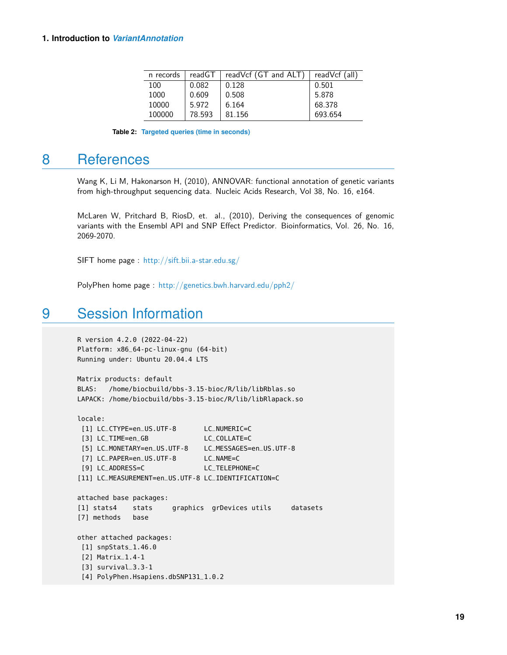| n records | readGT | readVcf (GT and ALT) | readVcf (all) |
|-----------|--------|----------------------|---------------|
| 100       | 0.082  | 0.128                | 0.501         |
| 1000      | 0.609  | 0.508                | 5.878         |
| 10000     | 5.972  | 6.164                | 68.378        |
| 100000    | 78.593 | 81.156               | 693.654       |

**Table 2: Targeted queries (time in seconds)**

## 8 References

<span id="page-18-0"></span>Wang K, Li M, Hakonarson H, (2010), ANNOVAR: functional annotation of genetic variants from high-throughput sequencing data. Nucleic Acids Research, Vol 38, No. 16, e164.

McLaren W, Pritchard B, RiosD, et. al., (2010), Deriving the consequences of genomic variants with the Ensembl API and SNP Effect Predictor. Bioinformatics, Vol. 26, No. 16, 2069-2070.

SIFT home page : <http://sift.bii.a-star.edu.sg/>

<span id="page-18-1"></span>PolyPhen home page : <http://genetics.bwh.harvard.edu/pph2/>

## 9 Session Information

```
R version 4.2.0 (2022-04-22)
Platform: x86_64-pc-linux-gnu (64-bit)
Running under: Ubuntu 20.04.4 LTS
```

```
Matrix products: default
BLAS: /home/biocbuild/bbs-3.15-bioc/R/lib/libRblas.so
LAPACK: /home/biocbuild/bbs-3.15-bioc/R/lib/libRlapack.so
```

```
locale:
```

```
[1] LC_CTYPE=en_US.UTF-8 LC_NUMERIC=C
[3] LC_TIME=en_GB LC_COLLATE=C
[5] LC_MONETARY=en_US.UTF-8 LC_MESSAGES=en_US.UTF-8
[7] LC_PAPER=en_US.UTF-8 LC_NAME=C
[9] LC_ADDRESS=C LC_TELEPHONE=C
[11] LC_MEASUREMENT=en_US.UTF-8 LC_IDENTIFICATION=C
attached base packages:
[1] stats4 stats graphics grDevices utils datasets
[7] methods base
other attached packages:
[1] snpStats_1.46.0
[2] Matrix_1.4-1
[3] survival_3.3-1
[4] PolyPhen.Hsapiens.dbSNP131_1.0.2
```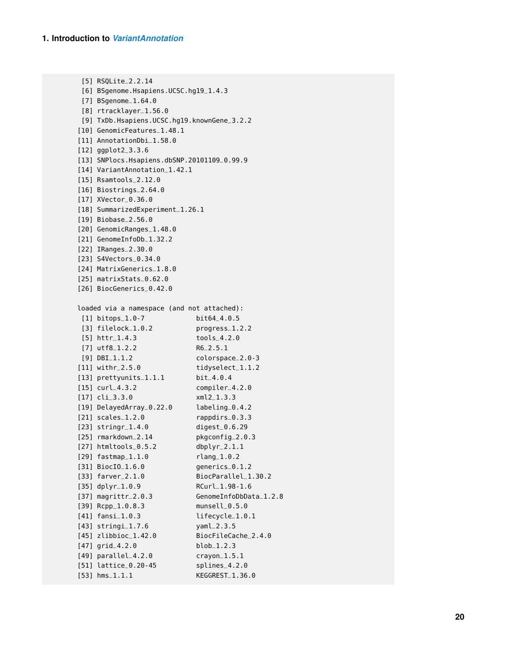```
[5] RSQLite_2.2.14
 [6] BSgenome.Hsapiens.UCSC.hg19_1.4.3
 [7] BSgenome_1.64.0
 [8] rtracklayer_1.56.0
 [9] TxDb.Hsapiens.UCSC.hg19.knownGene_3.2.2
[10] GenomicFeatures_1.48.1
[11] AnnotationDbi_1.58.0
[12] ggplot2_3.3.6
[13] SNPlocs.Hsapiens.dbSNP.20101109_0.99.9
[14] VariantAnnotation_1.42.1
[15] Rsamtools_2.12.0
[16] Biostrings_2.64.0
[17] XVector_0.36.0
[18] SummarizedExperiment_1.26.1
[19] Biobase_2.56.0
[20] GenomicRanges_1.48.0
[21] GenomeInfoDb_1.32.2
[22] IRanges_2.30.0
[23] S4Vectors_0.34.0
[24] MatrixGenerics_1.8.0
[25] matrixStats_0.62.0
[26] BiocGenerics_0.42.0
loaded via a namespace (and not attached):
 [1] bitops_1.0-7 bit64_4.0.5
 [3] filelock_1.0.2 progress_1.2.2
 [5] httr_1.4.3 tools_4.2.0
 [7] utf8_1.2.2 R6_2.5.1
 [9] DBI_1.1.2 colorspace_2.0-3
[11] withr_2.5.0 tidyselect_1.1.2
[13] prettyunits_1.1.1 bit_4.0.4
[15] curl_4.3.2 compiler_4.2.0
[17] cli_3.3.0 xml2_1.3.3
[19] DelayedArray_0.22.0 labeling_0.4.2
[21] scales_1.2.0 rappdirs_0.3.3
[23] stringr_1.4.0 digest_0.6.29
[25] rmarkdown_2.14 pkgconfig_2.0.3
[27] htmltools_0.5.2 dbplyr_2.1.1
[29] fastmap_1.1.0 rlang_1.0.2
[31] BiocIO_1.6.0 generics_0.1.2
[33] farver_2.1.0 BiocParallel_1.30.2
[35] dplyr_1.0.9 RCurl_1.98-1.6
[37] magrittr_2.0.3 GenomeInfoDbData_1.2.8
[39] Rcpp_1.0.8.3 munsell_0.5.0
[41] fansi_1.0.3 lifecycle_1.0.1
[43] stringi_1.7.6 yaml_2.3.5
[45] zlibbioc_1.42.0 BiocFileCache_2.4.0
[47] grid_4.2.0 blob_1.2.3
[49] parallel_4.2.0 crayon_1.5.1
[51] lattice_0.20-45 splines_4.2.0
[53] hms_1.1.1 KEGGREST_1.36.0
```